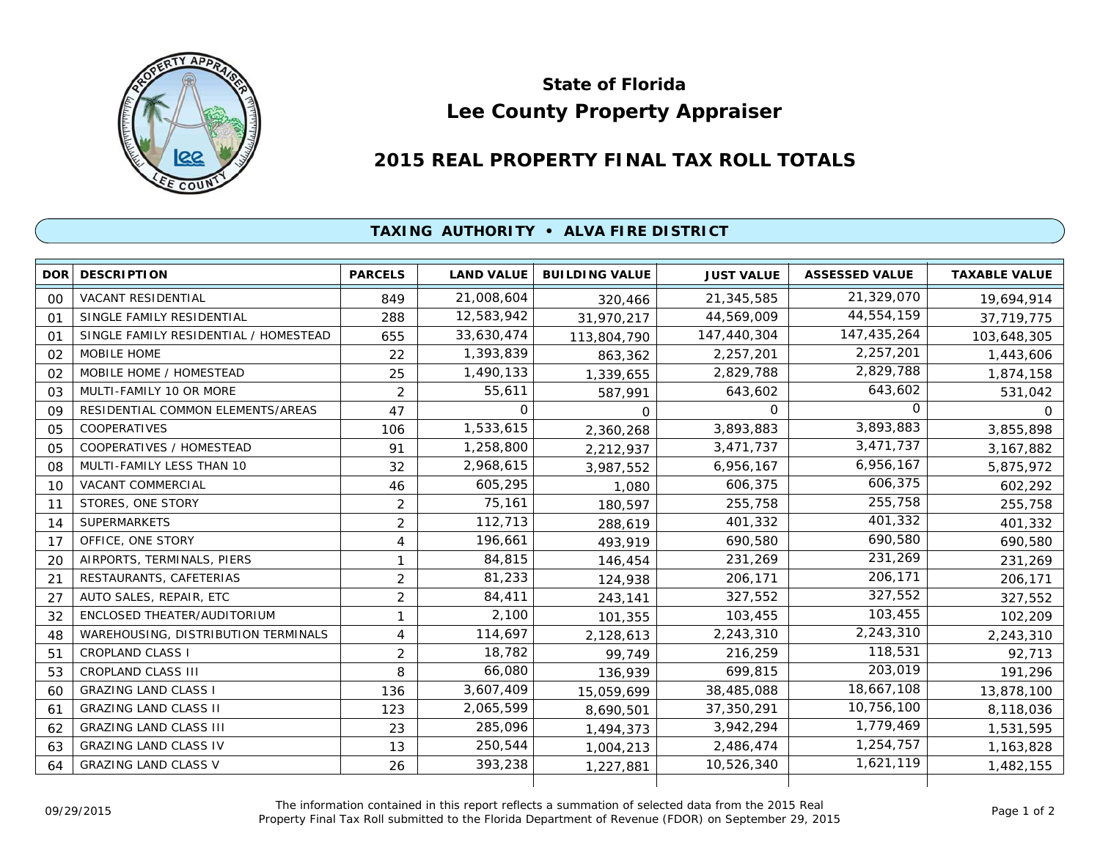

## **Lee County Property Appraiser State of Florida**

## **2015 REAL PROPERTY FINAL TAX ROLL TOTALS**

## **TAXING AUTHORITY • ALVA FIRE DISTRICT**

| <b>DOR</b> | <b>DESCRIPTION</b>                    | <b>PARCELS</b> | <b>LAND VALUE</b> | <b>BUILDING VALUE</b> | <b>JUST VALUE</b> | <b>ASSESSED VALUE</b> | <b>TAXABLE VALUE</b> |
|------------|---------------------------------------|----------------|-------------------|-----------------------|-------------------|-----------------------|----------------------|
| 00         | VACANT RESIDENTIAL                    | 849            | 21,008,604        | 320,466               | 21,345,585        | 21,329,070            | 19,694,914           |
| 01         | SINGLE FAMILY RESIDENTIAL             | 288            | 12,583,942        | 31,970,217            | 44,569,009        | 44,554,159            | 37,719,775           |
| 01         | SINGLE FAMILY RESIDENTIAL / HOMESTEAD | 655            | 33,630,474        | 113,804,790           | 147,440,304       | 147,435,264           | 103,648,305          |
| 02         | MOBILE HOME                           | 22             | 1,393,839         | 863,362               | 2,257,201         | 2,257,201             | 1,443,606            |
| 02         | MOBILE HOME / HOMESTEAD               | 25             | 1,490,133         | 1,339,655             | 2,829,788         | 2,829,788             | 1,874,158            |
| 03         | MULTI-FAMILY 10 OR MORE               | $\overline{2}$ | 55,611            | 587,991               | 643,602           | 643,602               | 531,042              |
| 09         | RESIDENTIAL COMMON ELEMENTS/AREAS     | 47             | 0                 | 0                     | $\Omega$          | $\Omega$              | 0                    |
| 05         | <b>COOPERATIVES</b>                   | 106            | 1,533,615         | 2,360,268             | 3,893,883         | 3,893,883             | 3,855,898            |
| 05         | COOPERATIVES / HOMESTEAD              | 91             | 1,258,800         | 2,212,937             | 3,471,737         | 3,471,737             | 3,167,882            |
| 08         | MULTI-FAMILY LESS THAN 10             | 32             | 2,968,615         | 3,987,552             | 6,956,167         | 6,956,167             | 5,875,972            |
| 10         | <b>VACANT COMMERCIAL</b>              | 46             | 605,295           | 1,080                 | 606,375           | 606,375               | 602,292              |
| 11         | STORES, ONE STORY                     | $\overline{2}$ | 75,161            | 180,597               | 255,758           | 255,758               | 255,758              |
| 14         | <b>SUPERMARKETS</b>                   | $\overline{2}$ | 112,713           | 288,619               | 401,332           | 401,332               | 401,332              |
| 17         | OFFICE, ONE STORY                     | 4              | 196,661           | 493,919               | 690.580           | 690,580               | 690,580              |
| 20         | AIRPORTS, TERMINALS, PIERS            | 1              | 84,815            | 146,454               | 231,269           | 231,269               | 231,269              |
| 21         | RESTAURANTS, CAFETERIAS               | $\overline{2}$ | 81,233            | 124,938               | 206,171           | 206,171               | 206,171              |
| 27         | AUTO SALES, REPAIR, ETC               | $\overline{2}$ | 84,411            | 243,141               | 327,552           | 327,552               | 327,552              |
| 32         | ENCLOSED THEATER/AUDITORIUM           | 1              | 2,100             | 101,355               | 103,455           | 103,455               | 102,209              |
| 48         | WAREHOUSING, DISTRIBUTION TERMINALS   | 4              | 114,697           | 2,128,613             | 2,243,310         | 2,243,310             | 2,243,310            |
| 51         | <b>CROPLAND CLASS I</b>               | $\overline{2}$ | 18,782            | 99,749                | 216,259           | 118,531               | 92,713               |
| 53         | <b>CROPLAND CLASS III</b>             | 8              | 66,080            | 136,939               | 699,815           | 203,019               | 191,296              |
| 60         | <b>GRAZING LAND CLASS I</b>           | 136            | 3,607,409         | 15,059,699            | 38,485,088        | 18,667,108            | 13,878,100           |
| 61         | <b>GRAZING LAND CLASS II</b>          | 123            | 2,065,599         | 8,690,501             | 37,350,291        | 10,756,100            | 8,118,036            |
| 62         | <b>GRAZING LAND CLASS III</b>         | 23             | 285,096           | 1,494,373             | 3,942,294         | 1,779,469             | 1,531,595            |
| 63         | <b>GRAZING LAND CLASS IV</b>          | 13             | 250,544           | 1,004,213             | 2,486,474         | 1,254,757             | 1,163,828            |
| 64         | <b>GRAZING LAND CLASS V</b>           | 26             | 393,238           | 1,227,881             | 10,526,340        | 1,621,119             | 1,482,155            |
|            |                                       |                |                   |                       |                   |                       |                      |

The information contained in this report reflects a summation of selected data from the 2015 Real Ine information contained in this report reflects a summation of selected data from the 2015 Real<br>Property Final Tax Roll submitted to the Florida Department of Revenue (FDOR) on September 29, 2015